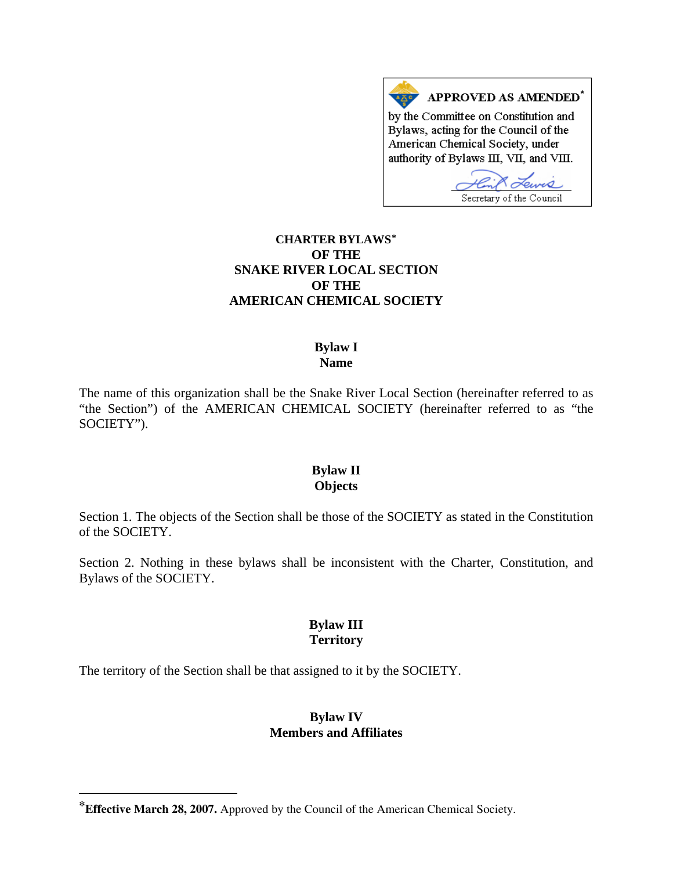

## **CHARTER BYLAWS[\\*](#page-0-0) OF THE SNAKE RIVER LOCAL SECTION OF THE AMERICAN CHEMICAL SOCIETY**

#### **Bylaw I Name**

The name of this organization shall be the Snake River Local Section (hereinafter referred to as "the Section") of the AMERICAN CHEMICAL SOCIETY (hereinafter referred to as "the SOCIETY").

#### **Bylaw II Objects**

Section 1. The objects of the Section shall be those of the SOCIETY as stated in the Constitution of the SOCIETY.

Section 2. Nothing in these bylaws shall be inconsistent with the Charter, Constitution, and Bylaws of the SOCIETY.

# **Bylaw III Territory**

The territory of the Section shall be that assigned to it by the SOCIETY.

l

#### **Bylaw IV Members and Affiliates**

<span id="page-0-0"></span>**<sup>\*</sup>Effective March 28, 2007.** Approved by the Council of the American Chemical Society.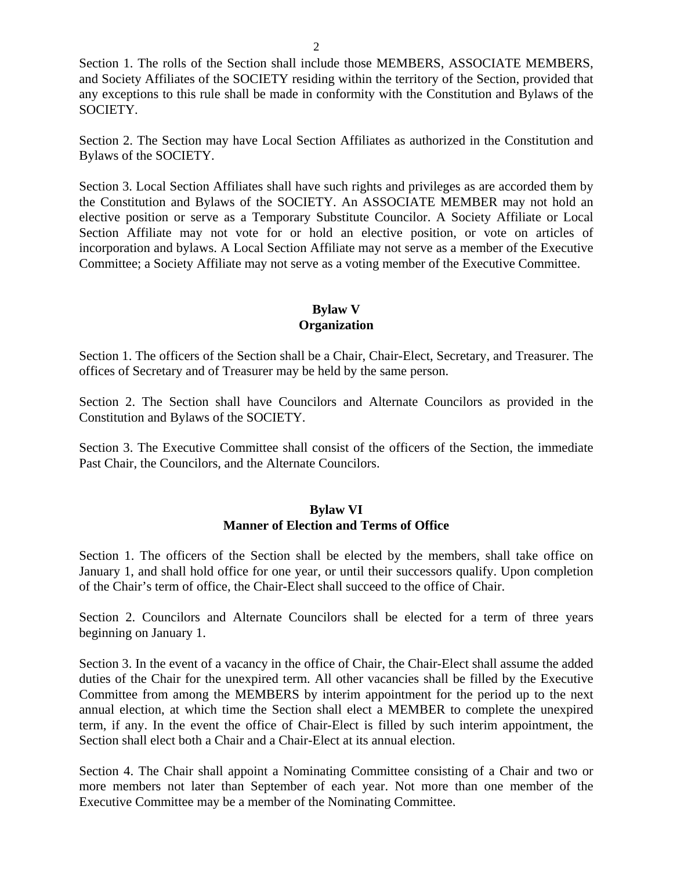Section 1. The rolls of the Section shall include those MEMBERS, ASSOCIATE MEMBERS, and Society Affiliates of the SOCIETY residing within the territory of the Section, provided that any exceptions to this rule shall be made in conformity with the Constitution and Bylaws of the SOCIETY.

Section 2. The Section may have Local Section Affiliates as authorized in the Constitution and Bylaws of the SOCIETY.

Section 3. Local Section Affiliates shall have such rights and privileges as are accorded them by the Constitution and Bylaws of the SOCIETY. An ASSOCIATE MEMBER may not hold an elective position or serve as a Temporary Substitute Councilor. A Society Affiliate or Local Section Affiliate may not vote for or hold an elective position, or vote on articles of incorporation and bylaws. A Local Section Affiliate may not serve as a member of the Executive Committee; a Society Affiliate may not serve as a voting member of the Executive Committee.

## **Bylaw V Organization**

Section 1. The officers of the Section shall be a Chair, Chair-Elect, Secretary, and Treasurer. The offices of Secretary and of Treasurer may be held by the same person.

Section 2. The Section shall have Councilors and Alternate Councilors as provided in the Constitution and Bylaws of the SOCIETY.

Section 3. The Executive Committee shall consist of the officers of the Section, the immediate Past Chair, the Councilors, and the Alternate Councilors.

### **Bylaw VI Manner of Election and Terms of Office**

Section 1. The officers of the Section shall be elected by the members, shall take office on January 1, and shall hold office for one year, or until their successors qualify. Upon completion of the Chair's term of office, the Chair-Elect shall succeed to the office of Chair.

Section 2. Councilors and Alternate Councilors shall be elected for a term of three years beginning on January 1.

Section 3. In the event of a vacancy in the office of Chair, the Chair-Elect shall assume the added duties of the Chair for the unexpired term. All other vacancies shall be filled by the Executive Committee from among the MEMBERS by interim appointment for the period up to the next annual election, at which time the Section shall elect a MEMBER to complete the unexpired term, if any. In the event the office of Chair-Elect is filled by such interim appointment, the Section shall elect both a Chair and a Chair-Elect at its annual election.

Section 4. The Chair shall appoint a Nominating Committee consisting of a Chair and two or more members not later than September of each year. Not more than one member of the Executive Committee may be a member of the Nominating Committee.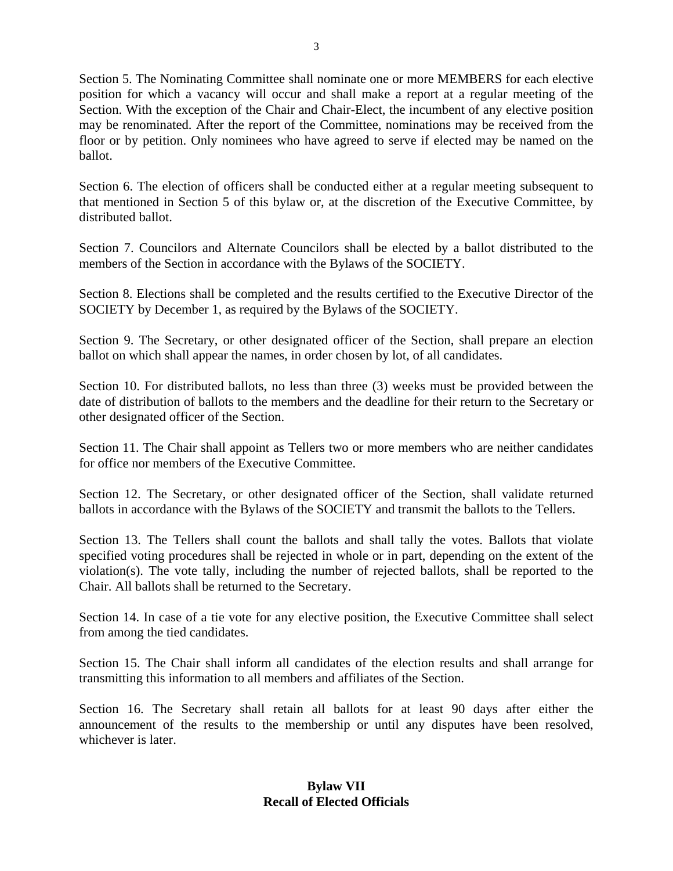Section 5. The Nominating Committee shall nominate one or more MEMBERS for each elective position for which a vacancy will occur and shall make a report at a regular meeting of the Section. With the exception of the Chair and Chair-Elect, the incumbent of any elective position may be renominated. After the report of the Committee, nominations may be received from the floor or by petition. Only nominees who have agreed to serve if elected may be named on the ballot.

Section 6. The election of officers shall be conducted either at a regular meeting subsequent to that mentioned in Section 5 of this bylaw or, at the discretion of the Executive Committee, by distributed ballot.

Section 7. Councilors and Alternate Councilors shall be elected by a ballot distributed to the members of the Section in accordance with the Bylaws of the SOCIETY.

Section 8. Elections shall be completed and the results certified to the Executive Director of the SOCIETY by December 1, as required by the Bylaws of the SOCIETY.

Section 9. The Secretary, or other designated officer of the Section, shall prepare an election ballot on which shall appear the names, in order chosen by lot, of all candidates.

Section 10. For distributed ballots, no less than three (3) weeks must be provided between the date of distribution of ballots to the members and the deadline for their return to the Secretary or other designated officer of the Section.

Section 11. The Chair shall appoint as Tellers two or more members who are neither candidates for office nor members of the Executive Committee.

Section 12. The Secretary, or other designated officer of the Section, shall validate returned ballots in accordance with the Bylaws of the SOCIETY and transmit the ballots to the Tellers.

Section 13. The Tellers shall count the ballots and shall tally the votes. Ballots that violate specified voting procedures shall be rejected in whole or in part, depending on the extent of the violation(s). The vote tally, including the number of rejected ballots, shall be reported to the Chair. All ballots shall be returned to the Secretary.

Section 14. In case of a tie vote for any elective position, the Executive Committee shall select from among the tied candidates.

Section 15. The Chair shall inform all candidates of the election results and shall arrange for transmitting this information to all members and affiliates of the Section.

Section 16. The Secretary shall retain all ballots for at least 90 days after either the announcement of the results to the membership or until any disputes have been resolved, whichever is later.

# **Bylaw VII Recall of Elected Officials**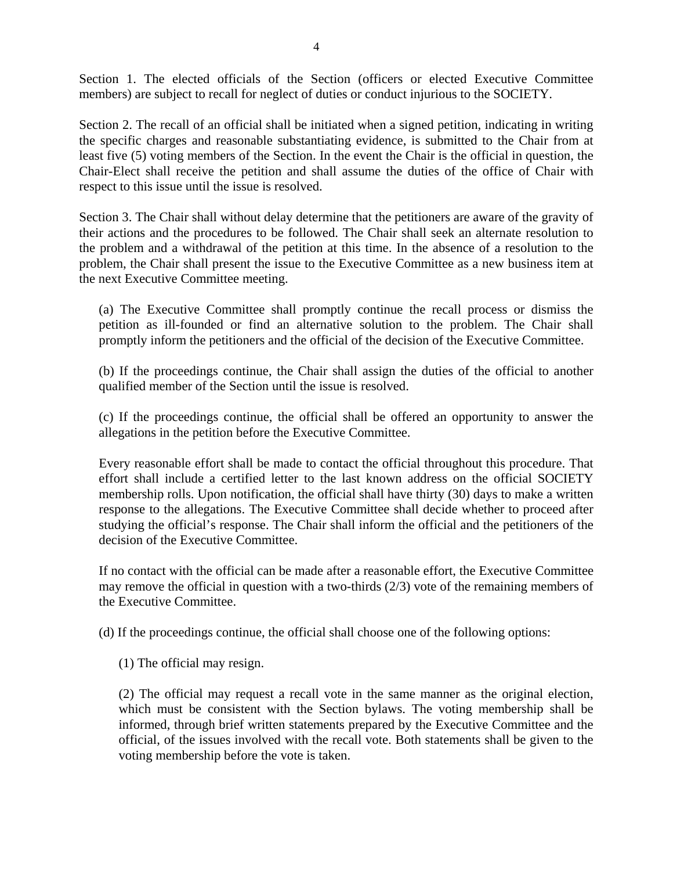Section 1. The elected officials of the Section (officers or elected Executive Committee members) are subject to recall for neglect of duties or conduct injurious to the SOCIETY.

Section 2. The recall of an official shall be initiated when a signed petition, indicating in writing the specific charges and reasonable substantiating evidence, is submitted to the Chair from at least five (5) voting members of the Section. In the event the Chair is the official in question, the Chair-Elect shall receive the petition and shall assume the duties of the office of Chair with respect to this issue until the issue is resolved.

Section 3. The Chair shall without delay determine that the petitioners are aware of the gravity of their actions and the procedures to be followed. The Chair shall seek an alternate resolution to the problem and a withdrawal of the petition at this time. In the absence of a resolution to the problem, the Chair shall present the issue to the Executive Committee as a new business item at the next Executive Committee meeting.

(a) The Executive Committee shall promptly continue the recall process or dismiss the petition as ill-founded or find an alternative solution to the problem. The Chair shall promptly inform the petitioners and the official of the decision of the Executive Committee.

(b) If the proceedings continue, the Chair shall assign the duties of the official to another qualified member of the Section until the issue is resolved.

(c) If the proceedings continue, the official shall be offered an opportunity to answer the allegations in the petition before the Executive Committee.

Every reasonable effort shall be made to contact the official throughout this procedure. That effort shall include a certified letter to the last known address on the official SOCIETY membership rolls. Upon notification, the official shall have thirty (30) days to make a written response to the allegations. The Executive Committee shall decide whether to proceed after studying the official's response. The Chair shall inform the official and the petitioners of the decision of the Executive Committee.

If no contact with the official can be made after a reasonable effort, the Executive Committee may remove the official in question with a two-thirds  $(2/3)$  vote of the remaining members of the Executive Committee.

(d) If the proceedings continue, the official shall choose one of the following options:

(1) The official may resign.

(2) The official may request a recall vote in the same manner as the original election, which must be consistent with the Section bylaws. The voting membership shall be informed, through brief written statements prepared by the Executive Committee and the official, of the issues involved with the recall vote. Both statements shall be given to the voting membership before the vote is taken.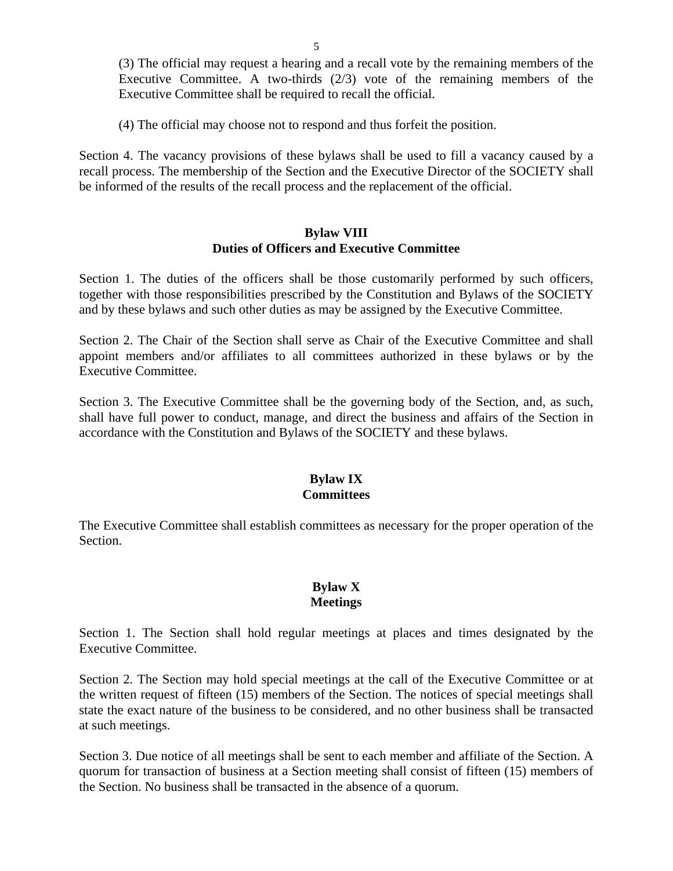(3) The official may request a hearing and a recall vote by the remaining members of the Executive Committee. A two-thirds (2/3) vote of the remaining members of the Executive Committee shall be required to recall the official.

(4) The official may choose not to respond and thus forfeit the position.

Section 4. The vacancy provisions of these bylaws shall be used to fill a vacancy caused by a recall process. The membership of the Section and the Executive Director of the SOCIETY shall be informed of the results of the recall process and the replacement of the official.

#### **Bylaw VIII Duties of Officers and Executive Committee**

Section 1. The duties of the officers shall be those customarily performed by such officers, together with those responsibilities prescribed by the Constitution and Bylaws of the SOCIETY and by these bylaws and such other duties as may be assigned by the Executive Committee.

Section 2. The Chair of the Section shall serve as Chair of the Executive Committee and shall appoint members and/or affiliates to all committees authorized in these bylaws or by the Executive Committee.

Section 3. The Executive Committee shall be the governing body of the Section, and, as such, shall have full power to conduct, manage, and direct the business and affairs of the Section in accordance with the Constitution and Bylaws of the SOCIETY and these bylaws.

### **Bylaw IX Committees**

The Executive Committee shall establish committees as necessary for the proper operation of the Section.

# **Bylaw X Meetings**

Section 1. The Section shall hold regular meetings at places and times designated by the Executive Committee.

Section 2. The Section may hold special meetings at the call of the Executive Committee or at the written request of fifteen (15) members of the Section. The notices of special meetings shall state the exact nature of the business to be considered, and no other business shall be transacted at such meetings.

Section 3. Due notice of all meetings shall be sent to each member and affiliate of the Section. A quorum for transaction of business at a Section meeting shall consist of fifteen (15) members of the Section. No business shall be transacted in the absence of a quorum.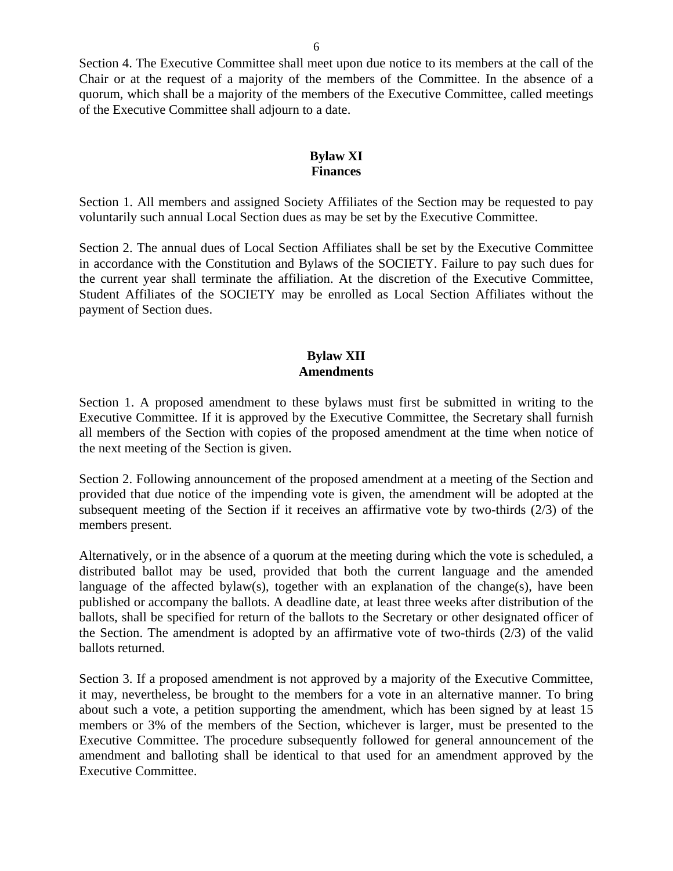Section 4. The Executive Committee shall meet upon due notice to its members at the call of the Chair or at the request of a majority of the members of the Committee. In the absence of a quorum, which shall be a majority of the members of the Executive Committee, called meetings of the Executive Committee shall adjourn to a date.

# **Bylaw XI Finances**

Section 1. All members and assigned Society Affiliates of the Section may be requested to pay voluntarily such annual Local Section dues as may be set by the Executive Committee.

Section 2. The annual dues of Local Section Affiliates shall be set by the Executive Committee in accordance with the Constitution and Bylaws of the SOCIETY. Failure to pay such dues for the current year shall terminate the affiliation. At the discretion of the Executive Committee, Student Affiliates of the SOCIETY may be enrolled as Local Section Affiliates without the payment of Section dues.

### **Bylaw XII Amendments**

Section 1. A proposed amendment to these bylaws must first be submitted in writing to the Executive Committee. If it is approved by the Executive Committee, the Secretary shall furnish all members of the Section with copies of the proposed amendment at the time when notice of the next meeting of the Section is given.

Section 2. Following announcement of the proposed amendment at a meeting of the Section and provided that due notice of the impending vote is given, the amendment will be adopted at the subsequent meeting of the Section if it receives an affirmative vote by two-thirds (2/3) of the members present.

Alternatively, or in the absence of a quorum at the meeting during which the vote is scheduled, a distributed ballot may be used, provided that both the current language and the amended language of the affected bylaw(s), together with an explanation of the change(s), have been published or accompany the ballots. A deadline date, at least three weeks after distribution of the ballots, shall be specified for return of the ballots to the Secretary or other designated officer of the Section. The amendment is adopted by an affirmative vote of two-thirds (2/3) of the valid ballots returned.

Section 3. If a proposed amendment is not approved by a majority of the Executive Committee, it may, nevertheless, be brought to the members for a vote in an alternative manner. To bring about such a vote, a petition supporting the amendment, which has been signed by at least 15 members or 3% of the members of the Section, whichever is larger, must be presented to the Executive Committee. The procedure subsequently followed for general announcement of the amendment and balloting shall be identical to that used for an amendment approved by the Executive Committee.